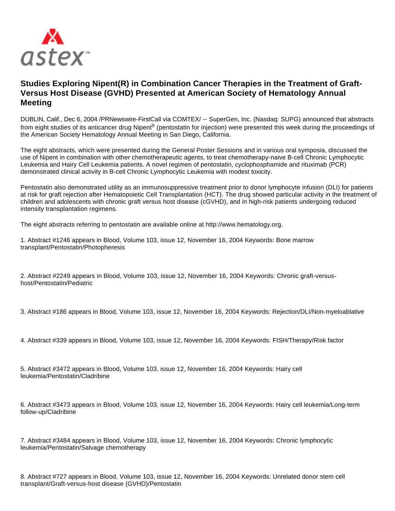

## **Studies Exploring Nipent(R) in Combination Cancer Therapies in the Treatment of Graft-Versus Host Disease (GVHD) Presented at American Society of Hematology Annual Meeting**

DUBLIN, Calif., Dec 6, 2004 /PRNewswire-FirstCall via COMTEX/ -- SuperGen, Inc. (Nasdaq: SUPG) announced that abstracts from eight studies of its anticancer drug Nipent<sup>®</sup> (pentostatin for injection) were presented this week during the proceedings of the American Society Hematology Annual Meeting in San Diego, California.

The eight abstracts, which were presented during the General Poster Sessions and in various oral symposia, discussed the use of Nipent in combination with other chemotherapeutic agents, to treat chemotherapy-naive B-cell Chronic Lymphocytic Leukemia and Hairy Cell Leukemia patients. A novel regimen of pentostatin, cyclophosphamide and rituximab (PCR) demonstrated clinical activity in B-cell Chronic Lymphocytic Leukemia with modest toxicity.

Pentostatin also demonstrated utility as an immunosuppressive treatment prior to donor lymphocyte infusion (DLI) for patients at risk for graft rejection after Hematopoietic Cell Transplantation (HCT). The drug showed particular activity in the treatment of children and adolescents with chronic graft versus host disease (cGVHD), and in high-risk patients undergoing reduced intensity transplantation regimens.

The eight abstracts referring to pentostatin are available online at http://www.hematology.org.

| 1. Abstract #1246 appears in Blood, Volume 103, issue 12, November 16, 2004 Keywords: Bone marrow |  |  |
|---------------------------------------------------------------------------------------------------|--|--|
| transplant/Pentostatin/Photopheresis                                                              |  |  |

2. Abstract #2249 appears in Blood, Volume 103, issue 12, November 16, 2004 Keywords: Chronic graft-versushost/Pentostatin/Pediatric

3. Abstract #186 appears in Blood, Volume 103, issue 12, November 16, 2004 Keywords: Rejection/DLI/Non-myeloablative

4. Abstract #339 appears in Blood, Volume 103, issue 12, November 16, 2004 Keywords: FISH/Therapy/Risk factor

5. Abstract #3472 appears in Blood, Volume 103, issue 12, November 16, 2004 Keywords: Hairy cell leukemia/Pentostatin/Cladribine

6. Abstract #3473 appears in Blood, Volume 103, issue 12, November 16, 2004 Keywords: Hairy cell leukemia/Long-term follow-up/Cladribine

7. Abstract #3484 appears in Blood, Volume 103, issue 12, November 16, 2004 Keywords: Chronic lymphocytic leukemia/Pentostatin/Salvage chemotherapy

8. Abstract #727 appears in Blood, Volume 103, issue 12, November 16, 2004 Keywords: Unrelated donor stem cell transplant/Graft-versus-host disease (GVHD)/Pentostatin